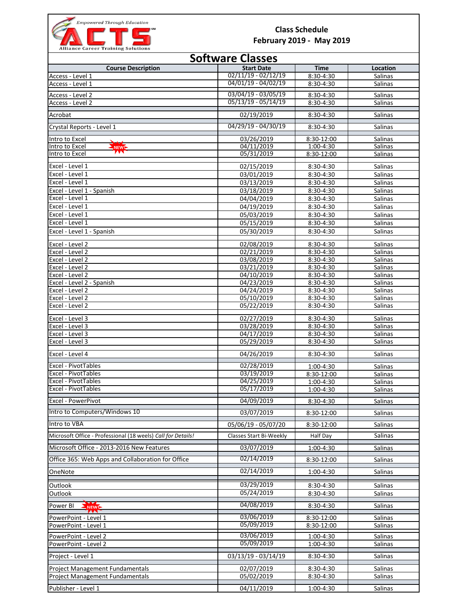

## **Class Schedule February 2019 - May 2019**

| Alliance career Training solutions<br><b>Software Classes</b> |                          |                         |                    |  |  |
|---------------------------------------------------------------|--------------------------|-------------------------|--------------------|--|--|
| <b>Course Description</b>                                     | <b>Start Date</b>        | <b>Time</b>             | Location           |  |  |
| Access - Level 1                                              | $02/11/19 - 02/12/19$    | 8:30-4:30               | Salinas            |  |  |
| Access - Level 1                                              | 04/01/19 - 04/02/19      | 8:30-4:30               | Salinas            |  |  |
| Access - Level 2                                              | $03/04/19 - 03/05/19$    | 8:30-4:30               | Salinas            |  |  |
| Access - Level 2                                              | $05/13/19 - 05/14/19$    | 8:30-4:30               | Salinas            |  |  |
| Acrobat                                                       | 02/19/2019               | 8:30-4:30               | Salinas            |  |  |
|                                                               | 04/29/19 - 04/30/19      |                         | <b>Salinas</b>     |  |  |
| Crystal Reports - Level 1                                     |                          | 8:30-4:30               |                    |  |  |
| Intro to Excel<br>Intro to Excel<br>NEWL                      | 03/26/2019<br>04/11/2019 | 8:30-12:00<br>1:00-4:30 | Salinas<br>Salinas |  |  |
| W<br>Intro to Excel                                           | 05/31/2019               | 8:30-12:00              | Salinas            |  |  |
|                                                               |                          |                         |                    |  |  |
| Excel - Level 1                                               | 02/15/2019               | 8:30-4:30               | <b>Salinas</b>     |  |  |
| Excel - Level 1<br>Excel - Level 1                            | 03/01/2019               | 8:30-4:30               | Salinas            |  |  |
| Excel - Level 1 - Spanish                                     | 03/13/2019<br>03/18/2019 | 8:30-4:30<br>8:30-4:30  | Salinas<br>Salinas |  |  |
| Excel - Level 1                                               | 04/04/2019               | 8:30-4:30               | Salinas            |  |  |
| Excel - Level 1                                               | 04/19/2019               | 8:30-4:30               | Salinas            |  |  |
| Excel - Level 1                                               | 05/03/2019               | 8:30-4:30               | Salinas            |  |  |
| Excel - Level 1                                               | 05/15/2019               | 8:30-4:30               | Salinas            |  |  |
| Excel - Level 1 - Spanish                                     | 05/30/2019               | 8:30-4:30               | Salinas            |  |  |
| Excel - Level 2                                               | 02/08/2019               | 8:30-4:30               | Salinas            |  |  |
| Excel - Level 2                                               | 02/21/2019               | 8:30-4:30               | Salinas            |  |  |
| Excel - Level 2                                               | 03/08/2019               | 8:30-4:30               | Salinas            |  |  |
| Excel - Level 2                                               | 03/21/2019               | 8:30-4:30               | Salinas            |  |  |
| Excel - Level 2                                               | 04/10/2019               | 8:30-4:30               | Salinas            |  |  |
| Excel - Level 2 - Spanish                                     | 04/23/2019               | 8:30-4:30               | Salinas            |  |  |
| Excel - Level 2                                               | 04/24/2019               | 8:30-4:30               | Salinas            |  |  |
| Excel - Level 2                                               | 05/10/2019               | 8:30-4:30               | Salinas            |  |  |
| Excel - Level 2                                               | 05/22/2019               | 8:30-4:30               | Salinas            |  |  |
| Excel - Level 3                                               | 02/27/2019               | 8:30-4:30               | Salinas            |  |  |
| Excel - Level 3<br>Excel - Level 3                            | 03/28/2019<br>04/17/2019 | 8:30-4:30<br>8:30-4:30  | Salinas<br>Salinas |  |  |
| Excel - Level 3                                               | 05/29/2019               | 8:30-4:30               | Salinas            |  |  |
| Excel - Level 4                                               | 04/26/2019               | 8:30-4:30               | Salinas            |  |  |
| Excel - PivotTables                                           | 02/28/2019               |                         |                    |  |  |
| Excel - PivotTables                                           | 03/19/2019               | 1:00-4:30<br>8:30-12:00 | Salinas<br>Salinas |  |  |
| Excel - PivotTables                                           | 04/25/2019               | 1:00-4:30               | <b>Salinas</b>     |  |  |
| Excel - PivotTables                                           | 05/17/2019               | 1:00-4:30               | <b>Salinas</b>     |  |  |
| Excel - PowerPivot                                            | 04/09/2019               | 8:30-4:30               | Salinas            |  |  |
| Intro to Computers/Windows 10                                 | 03/07/2019               | 8:30-12:00              | Salinas            |  |  |
| Intro to VBA                                                  | 05/06/19 - 05/07/20      | 8:30-12:00              | Salinas            |  |  |
| Microsoft Office - Professional (18 weels) Call for Details!  | Classes Start Bi-Weekly  | Half Day                | Salinas            |  |  |
| Microsoft Office - 2013-2016 New Features                     | 03/07/2019               | $1:00 - 4:30$           | Salinas            |  |  |
| Office 365: Web Apps and Collaboration for Office             | 02/14/2019               | 8:30-12:00              | Salinas            |  |  |
| OneNote                                                       | 02/14/2019               | 1:00-4:30               | Salinas            |  |  |
|                                                               |                          |                         |                    |  |  |
| Outlook<br>Outlook                                            | 03/29/2019<br>05/24/2019 | 8:30-4:30<br>8:30-4:30  | Salinas<br>Salinas |  |  |
|                                                               | 04/08/2019               |                         |                    |  |  |
| Power BI<br>NEWL                                              |                          | 8:30-4:30               | Salinas            |  |  |
| PowerPoint - Level 1                                          | 03/06/2019<br>05/09/2019 | 8:30-12:00              | Salinas            |  |  |
| PowerPoint - Level 1                                          |                          | 8:30-12:00              | Salinas            |  |  |
| PowerPoint - Level 2                                          | 03/06/2019<br>05/09/2019 | 1:00-4:30               | Salinas            |  |  |
| PowerPoint - Level 2                                          |                          | 1:00-4:30               | Salinas            |  |  |
| Project - Level 1                                             | 03/13/19 - 03/14/19      | 8:30-4:30               | Salinas            |  |  |
| Project Management Fundamentals                               | 02/07/2019               | 8:30-4:30               | Salinas            |  |  |
| Project Management Fundamentals                               | 05/02/2019               | 8:30-4:30               | Salinas            |  |  |
| Publisher - Level 1                                           | 04/11/2019               | 1:00-4:30               | Salinas            |  |  |